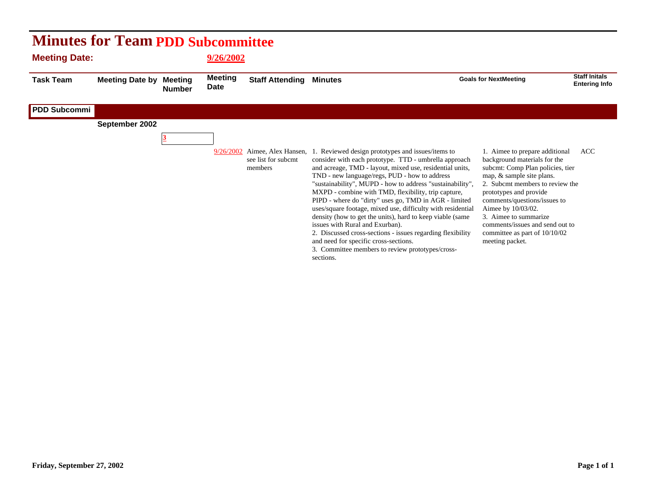

sections.